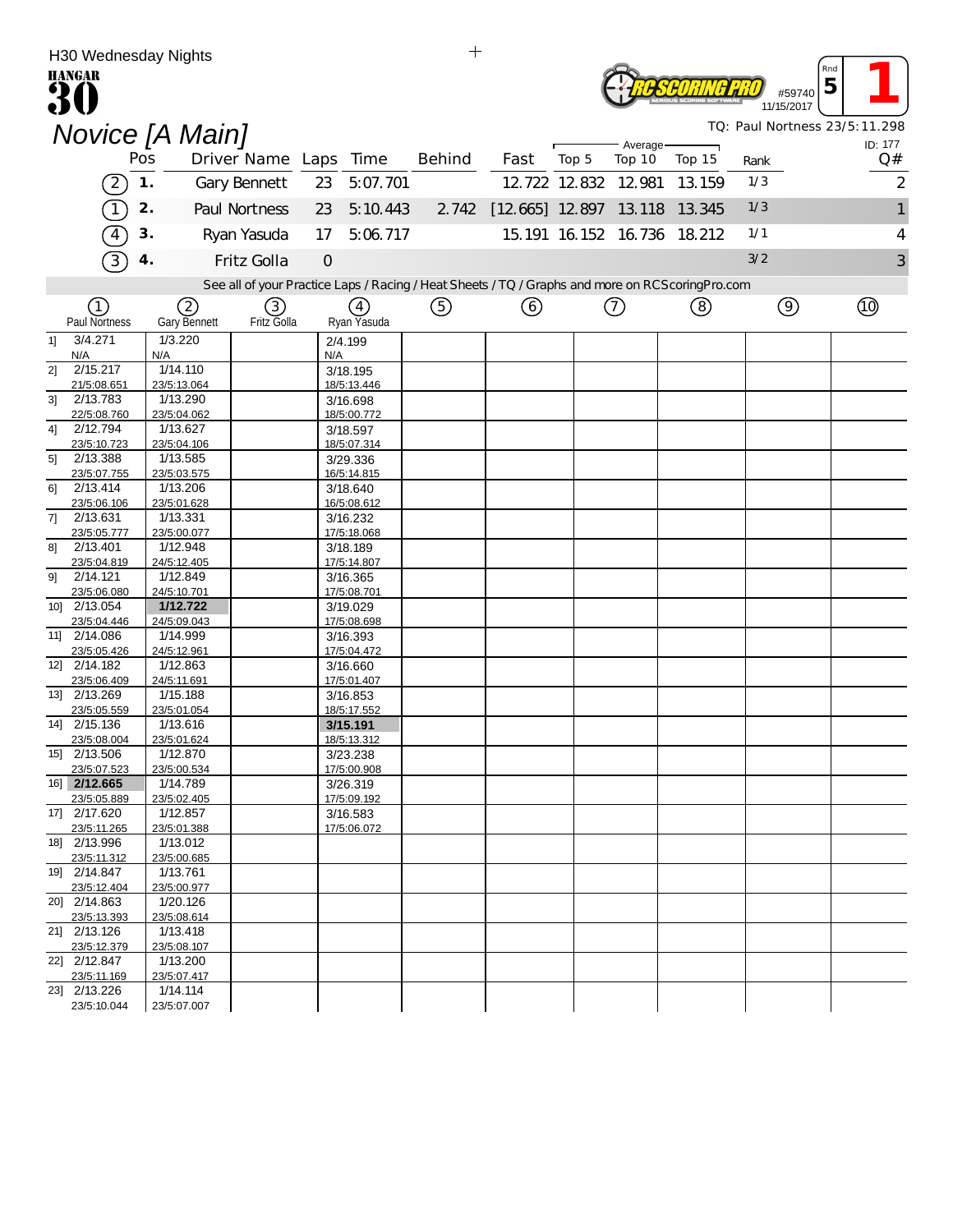|                                     | H30 Wednesday Nights        |     |                         |                       |             |                         | $\mathrm{+}$ |      |       |                                                                                                  |        |      |                           |                               |
|-------------------------------------|-----------------------------|-----|-------------------------|-----------------------|-------------|-------------------------|--------------|------|-------|--------------------------------------------------------------------------------------------------|--------|------|---------------------------|-------------------------------|
| <b>HANGAR</b>                       |                             |     |                         |                       |             |                         |              |      |       |                                                                                                  |        |      | Rnd                       |                               |
|                                     |                             |     |                         |                       |             |                         |              |      |       |                                                                                                  |        |      | 5<br>#59740<br>11/15/2017 |                               |
|                                     |                             |     |                         |                       |             |                         |              |      |       |                                                                                                  |        |      |                           | TQ: Paul Nortness 23/5:11.298 |
|                                     | Novice [A Main]             |     |                         |                       |             |                         |              |      |       | Average-                                                                                         |        |      |                           | ID: 177                       |
|                                     |                             | Pos |                         | Driver Name Laps Time |             |                         | Behind       | Fast | Top 5 | Top 10                                                                                           | Top 15 | Rank |                           | Q#                            |
|                                     | $\left( 2\right)$           | 1.  |                         | Gary Bennett          | 23          | 5:07.701                |              |      |       | 12.722 12.832 12.981                                                                             | 13.159 | 1/3  |                           | 2                             |
|                                     |                             | 2.  |                         | Paul Nortness         | 23          | 5:10.443                |              |      |       | 2 742 [12 665] 12 897 13 118                                                                     | 13.345 | 1/3  |                           | 1                             |
|                                     | $\overline{4}$              | 3.  |                         | Ryan Yasuda           | 17          | 5:06.717                |              |      |       | 15.191 16.152 16.736 18.212                                                                      |        | 1/1  |                           | 4                             |
|                                     |                             |     |                         |                       |             |                         |              |      |       |                                                                                                  |        |      |                           |                               |
| $\overline{3}$<br>Fritz Golla<br>4. |                             |     |                         |                       | $\mathbf 0$ |                         |              |      |       |                                                                                                  |        | 3/2  |                           | 3                             |
|                                     |                             |     |                         |                       |             |                         |              |      |       | See all of your Practice Laps / Racing / Heat Sheets / TQ / Graphs and more on RCScoring Pro.com |        |      |                           |                               |
|                                     | (1)                         |     | $\left( 2\right)$       | (3)                   |             | (4)                     | ⑤            | ⓒ    |       | $\circled7$                                                                                      | (8)    |      | $\circledcirc$            | $\Theta$                      |
| 1]                                  | Paul Nortness<br>3/4.271    |     | Gary Bennett<br>1/3.220 | Fritz Golla           |             | Ryan Yasuda<br>2/4.199  |              |      |       |                                                                                                  |        |      |                           |                               |
|                                     | N/A                         | N/A |                         |                       | N/A         |                         |              |      |       |                                                                                                  |        |      |                           |                               |
| 2]                                  | 2/15.217                    |     | 1/14.110                |                       |             | 3/18.195                |              |      |       |                                                                                                  |        |      |                           |                               |
| 31                                  | 21/5:08.651<br>2/13.783     |     | 23/5:13.064<br>1/13.290 |                       |             | 18/5:13.446<br>3/16.698 |              |      |       |                                                                                                  |        |      |                           |                               |
|                                     | 22/5:08.760                 |     | 23/5:04.062             |                       |             | 18/5:00.772             |              |      |       |                                                                                                  |        |      |                           |                               |
| 4]                                  | 2/12.794<br>23/5:10.723     |     | 1/13.627<br>23/5:04.106 |                       |             | 3/18.597<br>18/5:07.314 |              |      |       |                                                                                                  |        |      |                           |                               |
| 51                                  | 2/13.388                    |     | 1/13.585                |                       |             | 3/29.336                |              |      |       |                                                                                                  |        |      |                           |                               |
|                                     | 23/5:07.755                 |     | 23/5:03.575             |                       |             | 16/5:14.815             |              |      |       |                                                                                                  |        |      |                           |                               |
| 61                                  | 2/13.414<br>23/5:06.106     |     | 1/13.206<br>23/5:01.628 |                       |             | 3/18.640<br>16/5:08.612 |              |      |       |                                                                                                  |        |      |                           |                               |
| 71                                  | 2/13.631                    |     | 1/13.331                |                       |             | 3/16.232                |              |      |       |                                                                                                  |        |      |                           |                               |
| 81                                  | 23/5:05.777<br>2/13.401     |     | 23/5:00.077<br>1/12.948 |                       |             | 17/5:18.068<br>3/18.189 |              |      |       |                                                                                                  |        |      |                           |                               |
|                                     | 23/5:04.819                 |     | 24/5:12.405             |                       |             | 17/5:14.807             |              |      |       |                                                                                                  |        |      |                           |                               |
| 91                                  | 2/14.121                    |     | 1/12.849                |                       |             | 3/16.365                |              |      |       |                                                                                                  |        |      |                           |                               |
|                                     | 23/5:06.080<br>10] 2/13.054 |     | 24/5:10.701<br>1/12.722 |                       |             | 17/5:08.701<br>3/19.029 |              |      |       |                                                                                                  |        |      |                           |                               |
|                                     | 23/5:04.446                 |     | 24/5:09.043             |                       |             | 17/5:08.698             |              |      |       |                                                                                                  |        |      |                           |                               |
|                                     | 11] 2/14.086                |     | 1/14.999                |                       |             | 3/16.393                |              |      |       |                                                                                                  |        |      |                           |                               |
|                                     | 23/5:05.426<br>12] 2/14.182 |     | 24/5:12.961<br>1/12.863 |                       |             | 17/5:04.472<br>3/16.660 |              |      |       |                                                                                                  |        |      |                           |                               |
|                                     | 23/5:06.409                 |     | 24/5:11.691             |                       |             | 17/5:01.407             |              |      |       |                                                                                                  |        |      |                           |                               |
|                                     | 13] 2/13.269<br>23/5:05.559 |     | 1/15.188<br>23/5:01.054 |                       |             | 3/16.853<br>18/5:17.552 |              |      |       |                                                                                                  |        |      |                           |                               |
|                                     | 14] 2/15.136                |     | 1/13.616                |                       |             | 3/15.191                |              |      |       |                                                                                                  |        |      |                           |                               |
|                                     | 23/5:08 004                 |     | 23/5:01 624             |                       |             | 18/5.13.312             |              |      |       |                                                                                                  |        |      |                           |                               |
|                                     | 15] 2/13.506<br>23/5:07.523 |     | 1/12.870<br>23/5:00.534 |                       |             | 3/23.238<br>17/5:00.908 |              |      |       |                                                                                                  |        |      |                           |                               |
|                                     | 16] 2/12.665                |     | 1/14.789                |                       |             | 3/26.319                |              |      |       |                                                                                                  |        |      |                           |                               |
|                                     | 23/5:05.889<br>17] 2/17.620 |     | 23/5:02.405             |                       |             | 17/5:09.192             |              |      |       |                                                                                                  |        |      |                           |                               |
|                                     | 23/5:11.265                 |     | 1/12.857<br>23/5:01.388 |                       |             | 3/16.583<br>17/5:06.072 |              |      |       |                                                                                                  |        |      |                           |                               |
|                                     | 18] 2/13.996                |     | 1/13.012                |                       |             |                         |              |      |       |                                                                                                  |        |      |                           |                               |
|                                     | 23/5:11.312<br>19] 2/14.847 |     | 23/5:00.685<br>1/13.761 |                       |             |                         |              |      |       |                                                                                                  |        |      |                           |                               |
|                                     | 23/5:12.404                 |     | 23/5:00.977             |                       |             |                         |              |      |       |                                                                                                  |        |      |                           |                               |
|                                     | 20] 2/14.863                |     | 1/20.126                |                       |             |                         |              |      |       |                                                                                                  |        |      |                           |                               |
|                                     | 23/5:13.393<br>21] 2/13.126 |     | 23/5:08.614<br>1/13.418 |                       |             |                         |              |      |       |                                                                                                  |        |      |                           |                               |
|                                     | 23/5:12.379                 |     | 23/5:08.107             |                       |             |                         |              |      |       |                                                                                                  |        |      |                           |                               |
|                                     | 22] 2/12.847<br>23/5:11.169 |     | 1/13.200<br>23/5:07.417 |                       |             |                         |              |      |       |                                                                                                  |        |      |                           |                               |
|                                     | 23] 2/13.226                |     | 1/14.114                |                       |             |                         |              |      |       |                                                                                                  |        |      |                           |                               |
|                                     | 23/5:10.044                 |     | 23/5:07.007             |                       |             |                         |              |      |       |                                                                                                  |        |      |                           |                               |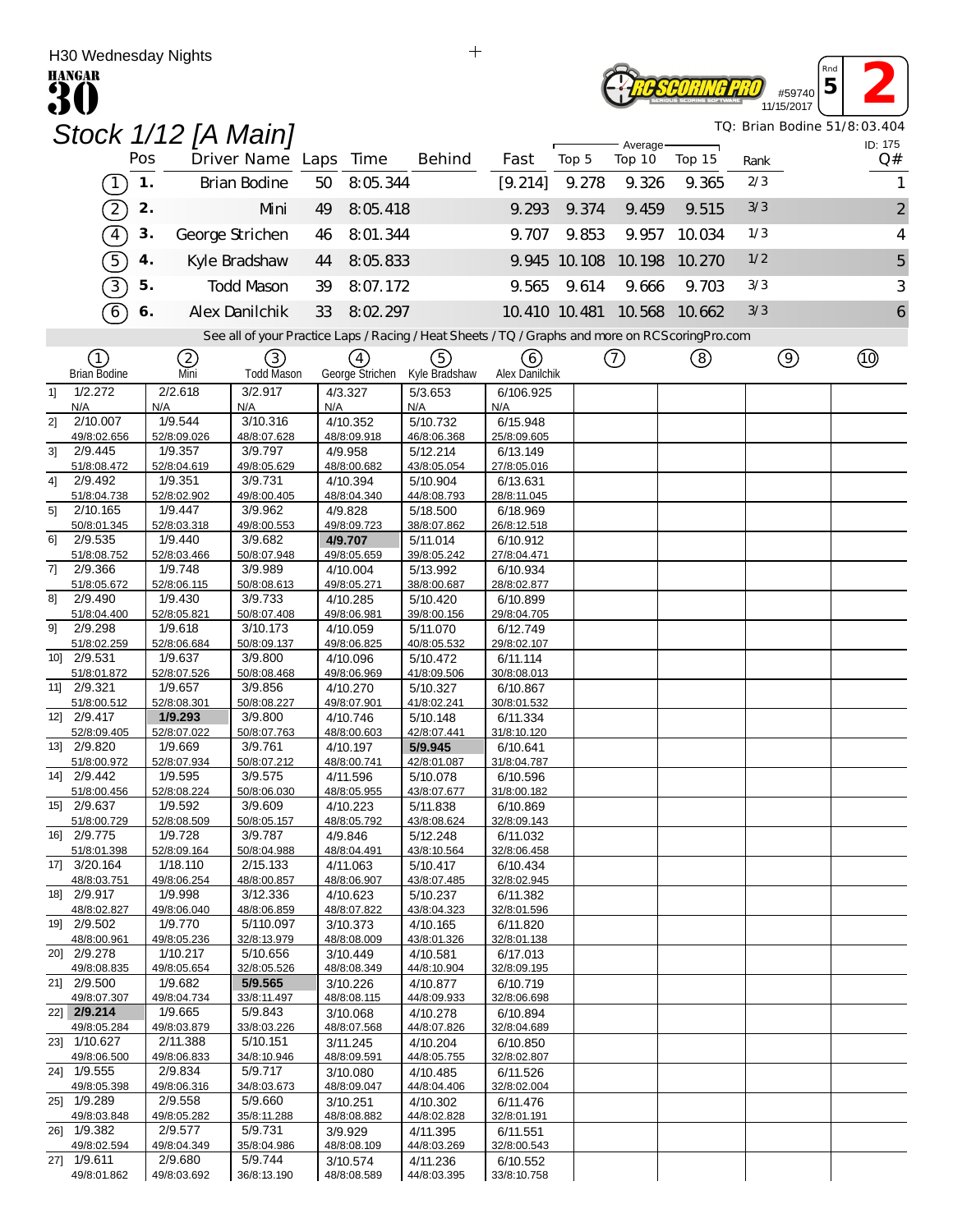| Rna<br>#5974<br>TIWARE<br>11/15/2017 |  |
|--------------------------------------|--|
|--------------------------------------|--|

*TQ: Brian Bodine 51/8:03.404*

|                |                             |     |                         | Stock 1/12 [A Main]                                                                               |                         |                  |                               |                         |       |                     |                             |      |                | TQ: Brian Bodine 51/8:03.404 |
|----------------|-----------------------------|-----|-------------------------|---------------------------------------------------------------------------------------------------|-------------------------|------------------|-------------------------------|-------------------------|-------|---------------------|-----------------------------|------|----------------|------------------------------|
|                |                             | Pos |                         | Driver Name Laps Time                                                                             |                         |                  | Behind                        | Fast                    | Top 5 | Average-<br>Top 10  | Top 15                      | Rank |                | ID: 175<br>Q#                |
|                | $\boxed{1}$                 | 1.  |                         | Brian Bodine                                                                                      | 50                      | 8:05.344         |                               | [9.214]                 | 9.278 | 9.326               | 9.365                       | 2/3  |                | 1                            |
|                |                             |     |                         |                                                                                                   |                         |                  |                               |                         |       |                     |                             | 3/3  |                |                              |
|                | $\left( 2\right)$           | 2.  |                         | Mni                                                                                               | 49                      | 8:05.418         |                               | 9.293                   | 9.374 | 9.459               | 9.515                       |      |                | $\overline{2}$               |
|                | $\boxed{4}$                 | 3.  |                         | George Strichen                                                                                   | 46                      | 8:01.344         |                               | 9.707                   | 9.853 | 9.957               | 10.034                      | 1/3  |                | $\overline{4}$               |
|                | 5                           | 4.  |                         | Kyle Bradshaw                                                                                     | 44                      | 8:05.833         |                               |                         |       | 9.945 10.108 10.198 | 10.270                      | 1/2  |                | 5                            |
|                | 3                           | 5.  |                         | <b>Todd Mason</b>                                                                                 | 39                      | 8:07.172         |                               | 9.565                   | 9.614 | 9.666               | 9.703                       | 3/3  |                | 3                            |
|                | $\widehat{6}$               | 6.  |                         | Alex Danilchik                                                                                    | 33                      | 8:02.297         |                               |                         |       |                     | 10.410 10.481 10.568 10.662 | 3/3  |                | 6                            |
|                |                             |     |                         | See all of your Practice Laps / Racing / Heat Sheets / TQ / Graphs and more on RCS coring Pro.com |                         |                  |                               |                         |       |                     |                             |      |                |                              |
|                | ①                           |     | (2)                     | (3)                                                                                               |                         | $\left(4\right)$ | ⑤                             | (6)                     |       | $\left(  \right)$   | (8)                         |      | $\circledcirc$ | $^{\circledR}$               |
|                | <b>Brian Bodine</b>         |     | Mni                     | <b>Todd Mason</b>                                                                                 |                         |                  | George Strichen Kyle Bradshaw | Alex Danilchik          |       |                     |                             |      |                |                              |
| 1              | 1/2.272                     |     | 2/2.618                 | 3/2.917                                                                                           | 4/3.327                 |                  | 5/3.653                       | 6/106.925               |       |                     |                             |      |                |                              |
| 21             | N/A<br>2/10.007             | N/A | 1/9.544                 | N/A<br>3/10.316                                                                                   | N/A<br>4/10.352         |                  | N/A<br>5/10.732               | N/A<br>6/15.948         |       |                     |                             |      |                |                              |
|                | 49/8:02.656                 |     | 52/8:09.026             | 48/8:07.628                                                                                       | 48/8:09.918             |                  | 46/8:06.368                   | 25/8:09.605             |       |                     |                             |      |                |                              |
| 3 <sup>1</sup> | 2/9.445<br>51/8:08.472      |     | 1/9.357<br>52/8:04.619  | 3/9.797<br>49/8:05.629                                                                            | 4/9.958<br>48/8:00.682  |                  | 5/12.214<br>43/8:05.054       | 6/13.149<br>27/8:05.016 |       |                     |                             |      |                |                              |
| 41             | 2/9.492                     |     | 1/9.351                 | 3/9.731                                                                                           | 4/10.394                |                  | 5/10.904                      | 6/13.631                |       |                     |                             |      |                |                              |
|                | 51/8:04.738                 |     | 52/8:02.902             | 49/8:00.405                                                                                       | 48/8:04.340             |                  | 44/8:08.793                   | 28/8:11.045             |       |                     |                             |      |                |                              |
| 5]             | 2/10.165                    |     | 1/9.447                 | 3/9.962                                                                                           | 4/9.828                 |                  | 5/18.500                      | 6/18.969                |       |                     |                             |      |                |                              |
|                | 50/8:01.345<br>2/9.535      |     | 52/8:03.318<br>1/9.440  | 49/8:00.553<br>3/9.682                                                                            | 49/8:09.723             |                  | 38/8:07.862                   | 26/8:12.518             |       |                     |                             |      |                |                              |
| 61             | 51/8:08.752                 |     | 52/8:03.466             | 50/8:07.948                                                                                       | 4/9.707<br>49/8:05.659  |                  | 5/11.014<br>39/8:05.242       | 6/10.912<br>27/8:04.471 |       |                     |                             |      |                |                              |
| 71             | 2/9.366                     |     | 1/9.748                 | 3/9.989                                                                                           | 4/10.004                |                  | 5/13.992                      | 6/10.934                |       |                     |                             |      |                |                              |
|                | 51/8:05.672                 |     | 52/8:06.115             | 50/8:08.613                                                                                       | 49/8:05.271             |                  | 38/8:00.687                   | 28/8:02.877             |       |                     |                             |      |                |                              |
| 81             | 2/9.490                     |     | 1/9.430                 | 3/9.733                                                                                           | 4/10.285                |                  | 5/10.420                      | 6/10.899                |       |                     |                             |      |                |                              |
| 91             | 51/8:04.400<br>2/9.298      |     | 52/8:05.821<br>1/9.618  | 50/8:07.408<br>3/10.173                                                                           | 49/8:06.981<br>4/10.059 |                  | 39/8:00.156<br>5/11.070       | 29/8:04.705<br>6/12.749 |       |                     |                             |      |                |                              |
|                | 51/8:02.259                 |     | 52/8:06.684             | 50/8:09.137                                                                                       | 49/8:06.825             |                  | 40/8:05.532                   | 29/8:02.107             |       |                     |                             |      |                |                              |
|                | 10] 2/9.531                 |     | 1/9.637                 | 3/9.800                                                                                           | 4/10.096                |                  | 5/10.472                      | 6/11.114                |       |                     |                             |      |                |                              |
|                | 51/8:01.872                 |     | 52/8:07.526             | 50/8:08.468                                                                                       | 49/8:06.969             |                  | 41/8:09.506                   | 30/8:08.013             |       |                     |                             |      |                |                              |
|                | 11] 2/9.321<br>51/8:00.512  |     | 1/9.657<br>52/8:08.301  | 3/9.856<br>50/8:08.227                                                                            | 4/10.270<br>49/8:07.901 |                  | 5/10.327<br>41/8:02.241       | 6/10.867<br>30/8:01.532 |       |                     |                             |      |                |                              |
|                | 12] 2/9.417                 |     | 1/9.293                 | 3/9.800                                                                                           | 4/10.746                |                  | 5/10.148                      | 6/11.334                |       |                     |                             |      |                |                              |
|                | 52/8:09.405                 |     | 52/8:07.022             | 50/8:07.763                                                                                       | 48/8:00.603             |                  | 42/8:07.441                   | 31/8:10.120             |       |                     |                             |      |                |                              |
|                | 13] 2/9.820                 |     | 1/9.669                 | 3/9.761                                                                                           | 4/10.197                |                  | 5/9.945                       | 6/10.641                |       |                     |                             |      |                |                              |
|                | 51/8:00.972<br>14] 2/9.442  |     | 52/8:07.934<br>1/9.595  | 50/8:07.212<br>3/9.575                                                                            | 48/8:00.741<br>4/11.596 |                  | 42/8:01.087<br>5/10.078       | 31/8:04.787<br>6/10.596 |       |                     |                             |      |                |                              |
|                | 51/8:00.456                 |     | 52/8:08.224             | 50/8:06.030                                                                                       | 48/8:05.955             |                  | 43/8:07.677                   | 31/8:00.182             |       |                     |                             |      |                |                              |
|                | 15] 2/9.637                 |     | 1/9.592                 | 3/9.609                                                                                           | 4/10.223                |                  | 5/11.838                      | 6/10.869                |       |                     |                             |      |                |                              |
|                | 51/8:00.729                 |     | 52/8:08.509             | 50/8:05.157                                                                                       | 48/8:05.792             |                  | 43/8:08.624                   | <u>32/8:09.143</u>      |       |                     |                             |      |                |                              |
|                | 16] 2/9.775<br>51/8:01.398  |     | 1/9.728<br>52/8:09.164  | 3/9.787<br>50/8:04.988                                                                            | 4/9.846<br>48/8:04.491  |                  | 5/12.248<br>43/8:10.564       | 6/11.032<br>32/8:06.458 |       |                     |                             |      |                |                              |
|                | 17] 3/20.164                |     | 1/18.110                | 2/15.133                                                                                          | 4/11.063                |                  | 5/10.417                      | 6/10.434                |       |                     |                             |      |                |                              |
|                | 48/8:03.751                 |     | 49/8:06.254             | 48/8:00.857                                                                                       | 48/8:06.907             |                  | 43/8:07.485                   | 32/8:02.945             |       |                     |                             |      |                |                              |
|                | 18] 2/9.917                 |     | 1/9.998                 | 3/12.336                                                                                          | 4/10.623                |                  | 5/10.237                      | 6/11.382                |       |                     |                             |      |                |                              |
|                | 48/8:02.827<br>19] 2/9.502  |     | 49/8:06.040<br>1/9.770  | 48/8:06.859<br>5/110.097                                                                          | 48/8:07.822<br>3/10.373 |                  | 43/8:04.323<br>4/10.165       | 32/8:01.596<br>6/11.820 |       |                     |                             |      |                |                              |
|                | 48/8:00.961                 |     | 49/8:05.236             | 32/8:13.979                                                                                       | 48/8:08.009             |                  | 43/8:01.326                   | 32/8:01.138             |       |                     |                             |      |                |                              |
|                | 20] 2/9.278                 |     | 1/10.217                | 5/10.656                                                                                          | 3/10.449                |                  | 4/10.581                      | 6/17.013                |       |                     |                             |      |                |                              |
|                | 49/8:08.835<br>21] 2/9.500  |     | 49/8:05.654<br>1/9.682  | 32/8:05.526<br>5/9.565                                                                            | 48/8:08.349             |                  | 44/8:10.904<br>4/10.877       | 32/8:09.195<br>6/10.719 |       |                     |                             |      |                |                              |
|                | 49/8:07.307                 |     | 49/8:04.734             | 33/8:11.497                                                                                       | 3/10.226<br>48/8:08.115 |                  | 44/8:09.933                   | 32/8:06.698             |       |                     |                             |      |                |                              |
|                | 22] 2/9.214                 |     | 1/9.665                 | 5/9.843                                                                                           | 3/10.068                |                  | 4/10.278                      | 6/10.894                |       |                     |                             |      |                |                              |
|                | 49/8:05.284                 |     | 49/8:03.879             | 33/8:03.226                                                                                       | 48/8:07.568             |                  | 44/8:07.826                   | 32/8:04.689             |       |                     |                             |      |                |                              |
|                | 23] 1/10.627<br>49/8:06.500 |     | 2/11.388<br>49/8:06.833 | 5/10.151<br>34/8:10.946                                                                           | 3/11.245<br>48/8:09.591 |                  | 4/10.204                      | 6/10.850                |       |                     |                             |      |                |                              |
|                | 24] 1/9.555                 |     | 2/9.834                 | 5/9.717                                                                                           | 3/10.080                |                  | 44/8:05.755<br>4/10.485       | 32/8:02.807<br>6/11.526 |       |                     |                             |      |                |                              |
|                | 49/8:05.398                 |     | 49/8:06.316             | 34/8:03.673                                                                                       | 48/8:09.047             |                  | 44/8:04.406                   | 32/8:02.004             |       |                     |                             |      |                |                              |
|                | 25] 1/9.289                 |     | 2/9.558                 | 5/9.660                                                                                           | 3/10.251                |                  | 4/10.302                      | 6/11.476                |       |                     |                             |      |                |                              |
|                | 49/8:03.848<br>26] 1/9.382  |     | 49/8:05.282<br>2/9.577  | 35/8:11.288<br>5/9.731                                                                            | 48/8:08.882             |                  | 44/8:02.828<br>4/11.395       | 32/8:01.191             |       |                     |                             |      |                |                              |
|                | 49/8:02.594                 |     | 49/8:04.349             | 35/8:04.986                                                                                       | 3/9.929<br>48/8:08.109  |                  | 44/8:03.269                   | 6/11.551<br>32/8:00.543 |       |                     |                             |      |                |                              |
|                | 27] 1/9.611                 |     | 2/9.680                 | 5/9.744                                                                                           | 3/10.574                |                  | 4/11.236                      | 6/10.552                |       |                     |                             |      |                |                              |
|                | 49/8:01.862                 |     | 49/8:03.692             | 36/8:13.190                                                                                       | 48/8:08.589             |                  | 44/8:03.395                   | 33/8:10.758             |       |                     |                             |      |                |                              |

 $\pm$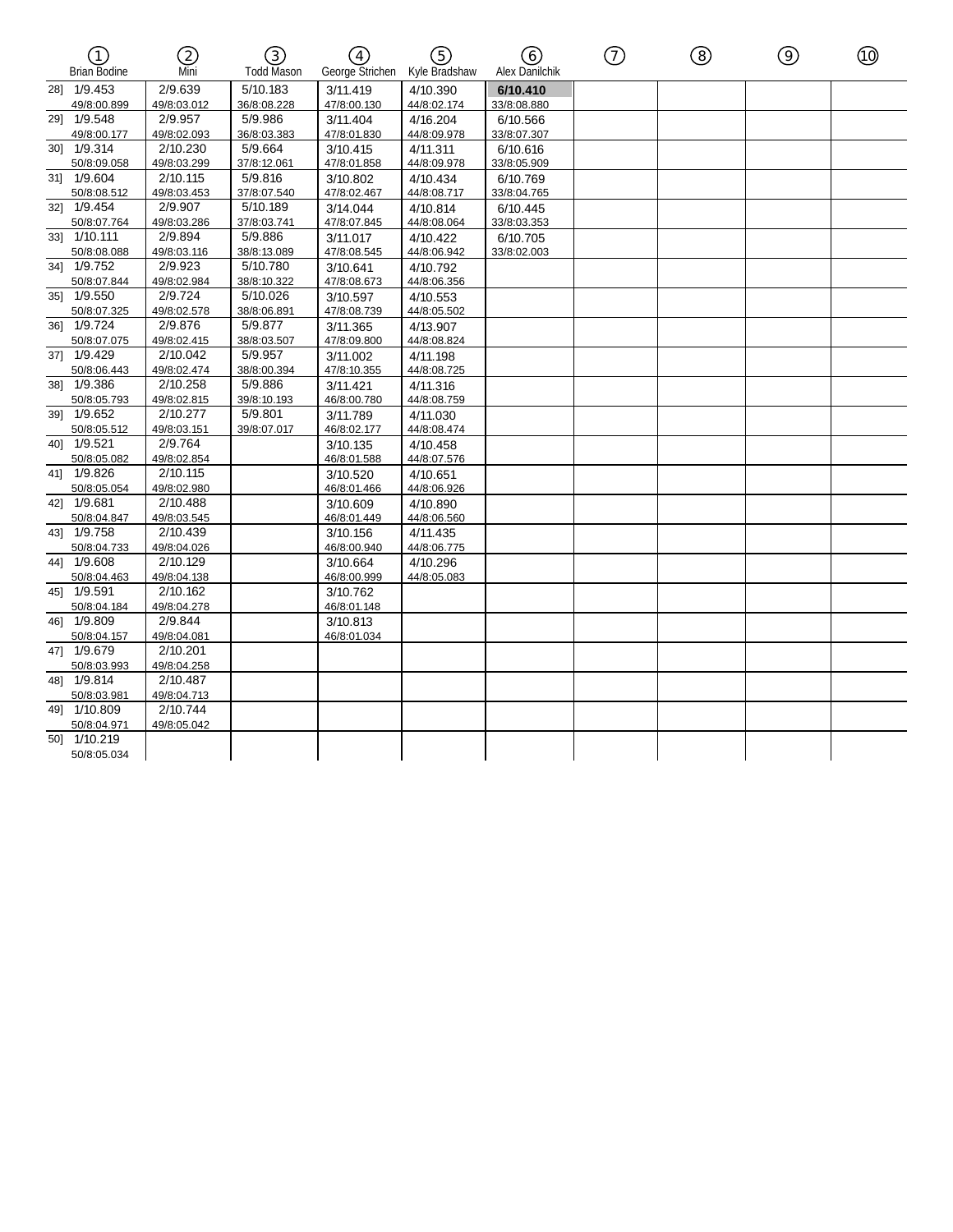| (T<br><b>Brian Bodine</b>   | 2<br>Mni                | ③<br>$\left(\overline{4}\right)$<br><b>Todd Mason</b><br>George Strichen |                         | ල)<br>Kyle Bradshaw     | (6)<br>Alex Danilchik   | $\left( \widehat{7}\right)$ | ⑧ | ⊚ | ⑩ |
|-----------------------------|-------------------------|--------------------------------------------------------------------------|-------------------------|-------------------------|-------------------------|-----------------------------|---|---|---|
| 281 1/9.453<br>49/8:00.899  | 2/9.639<br>49/8:03.012  | 5/10.183<br>36/8:08.228                                                  | 3/11.419<br>47/8:00.130 | 4/10.390<br>44/8:02.174 | 6/10.410<br>33/8:08.880 |                             |   |   |   |
| 29] 1/9.548<br>49/8:00.177  | 2/9.957<br>49/8:02.093  | 5/9.986<br>36/8:03.383                                                   | 3/11.404<br>47/8:01.830 | 4/16.204<br>44/8:09.978 | 6/10.566<br>33/8:07.307 |                             |   |   |   |
| 30] 1/9.314<br>50/8:09.058  | 2/10.230<br>49/8:03.299 | 5/9.664<br>37/8:12.061                                                   | 3/10.415<br>47/8:01.858 | 4/11.311<br>44/8:09.978 | 6/10.616<br>33/8:05.909 |                             |   |   |   |
| 31] 1/9.604<br>50/8:08.512  | 2/10.115<br>49/8:03.453 | 5/9.816<br>37/8:07.540                                                   | 3/10.802<br>47/8:02.467 | 4/10.434<br>44/8:08.717 | 6/10.769<br>33/8:04.765 |                             |   |   |   |
| 32] 1/9.454<br>50/8:07.764  | 2/9.907<br>49/8:03.286  | 5/10.189<br>37/8:03.741                                                  | 3/14.044<br>47/8:07.845 | 4/10.814<br>44/8:08.064 | 6/10.445<br>33/8:03.353 |                             |   |   |   |
| 331 1/10.111<br>50/8:08.088 | 2/9.894<br>49/8:03.116  | 5/9.886<br>38/8:13.089                                                   | 3/11.017<br>47/8:08.545 | 4/10.422<br>44/8:06.942 | 6/10.705<br>33/8:02.003 |                             |   |   |   |
| 341 1/9.752<br>50/8:07.844  | 2/9.923<br>49/8:02.984  | 5/10.780<br>38/8:10.322                                                  | 3/10.641<br>47/8:08.673 | 4/10.792<br>44/8:06.356 |                         |                             |   |   |   |
| 35] 1/9.550<br>50/8:07.325  | 2/9.724<br>49/8:02.578  | 5/10.026<br>38/8:06.891                                                  | 3/10.597<br>47/8:08.739 | 4/10.553<br>44/8:05.502 |                         |                             |   |   |   |
| 36] 1/9.724<br>50/8:07.075  | 2/9.876<br>49/8:02.415  | 5/9.877<br>38/8:03.507                                                   | 3/11.365<br>47/8:09.800 | 4/13.907<br>44/8:08.824 |                         |                             |   |   |   |
| 37] 1/9.429<br>50/8:06.443  | 2/10.042<br>49/8:02.474 | 5/9.957<br>38/8:00.394                                                   | 3/11.002<br>47/8:10.355 | 4/11.198<br>44/8:08.725 |                         |                             |   |   |   |
| 38] 1/9.386<br>50/8:05.793  | 2/10.258<br>49/8:02.815 | 5/9.886<br>39/8:10.193                                                   | 3/11.421<br>46/8:00.780 | 4/11.316<br>44/8:08.759 |                         |                             |   |   |   |
| 39] 1/9.652<br>50/8:05.512  | 2/10.277<br>49/8:03.151 | 5/9.801<br>39/8:07.017                                                   | 3/11.789<br>46/8:02.177 | 4/11.030<br>44/8:08.474 |                         |                             |   |   |   |
| 40] 1/9.521<br>50/8:05.082  | 2/9.764<br>49/8:02.854  |                                                                          | 3/10.135<br>46/8:01.588 | 4/10.458<br>44/8:07.576 |                         |                             |   |   |   |
| 41] 1/9.826<br>50/8:05.054  | 2/10.115<br>49/8:02.980 |                                                                          | 3/10.520<br>46/8:01.466 | 4/10.651<br>44/8:06.926 |                         |                             |   |   |   |
| 42] 1/9.681<br>50/8:04.847  | 2/10.488<br>49/8:03.545 |                                                                          | 3/10.609<br>46/8:01.449 | 4/10.890<br>44/8:06.560 |                         |                             |   |   |   |
| 43] 1/9.758<br>50/8:04.733  | 2/10.439<br>49/8:04.026 |                                                                          | 3/10.156<br>46/8:00.940 | 4/11.435<br>44/8:06.775 |                         |                             |   |   |   |
| 441 1/9.608<br>50/8:04.463  | 2/10.129<br>49/8:04.138 |                                                                          | 3/10.664<br>46/8:00.999 | 4/10.296<br>44/8:05.083 |                         |                             |   |   |   |
| 45] 1/9.591<br>50/8:04.184  | 2/10.162<br>49/8:04.278 |                                                                          | 3/10.762<br>46/8:01.148 |                         |                         |                             |   |   |   |
| 46] 1/9.809<br>50/8:04.157  | 2/9.844<br>49/8:04.081  |                                                                          | 3/10.813<br>46/8:01.034 |                         |                         |                             |   |   |   |
| 47] 1/9.679<br>50/8:03.993  | 2/10.201<br>49/8:04.258 |                                                                          |                         |                         |                         |                             |   |   |   |
| 48] 1/9.814<br>50/8:03.981  | 2/10.487<br>49/8:04.713 |                                                                          |                         |                         |                         |                             |   |   |   |
| 49] 1/10.809<br>50/8:04.971 | 2/10.744<br>49/8:05.042 |                                                                          |                         |                         |                         |                             |   |   |   |
| 50] 1/10.219<br>50/8:05.034 |                         |                                                                          |                         |                         |                         |                             |   |   |   |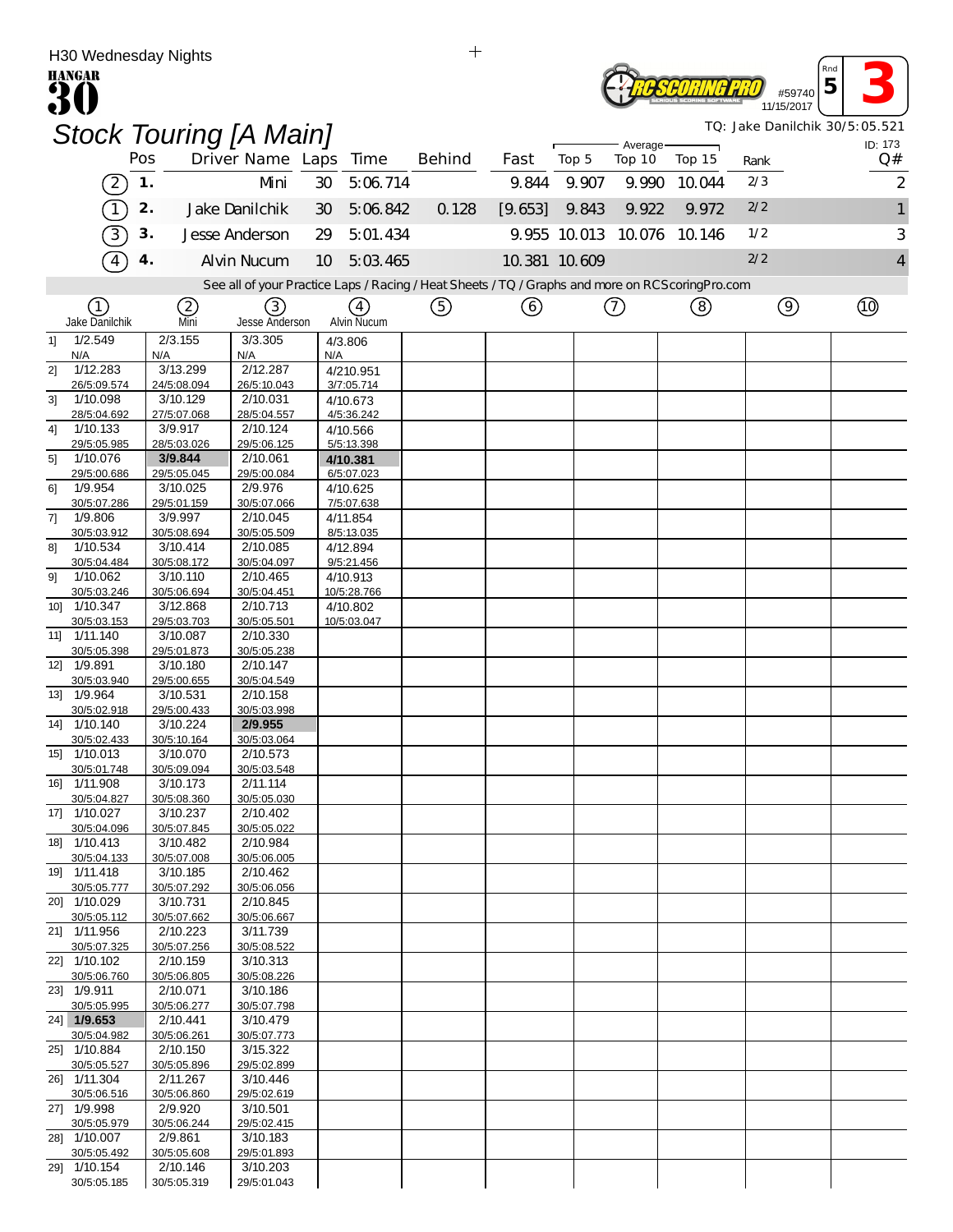| $\pm$<br>H30 Wednesday Nights     |     |                         |                                                                                                   |     |                         |               |               |       |       |          |                            |                                |                |  |         |  |  |  |  |
|-----------------------------------|-----|-------------------------|---------------------------------------------------------------------------------------------------|-----|-------------------------|---------------|---------------|-------|-------|----------|----------------------------|--------------------------------|----------------|--|---------|--|--|--|--|
| <b>HANGAR</b>                     |     |                         |                                                                                                   |     |                         |               |               |       |       | #59740   | Rna<br>5                   |                                |                |  |         |  |  |  |  |
|                                   |     |                         |                                                                                                   |     |                         |               |               |       |       |          |                            | TQ: Jake Danilchik 30/5:05.521 | 11/15/2017     |  |         |  |  |  |  |
|                                   |     |                         | <b>Stock Touring [A Main]</b>                                                                     |     |                         |               |               |       |       | Average- |                            |                                |                |  | ID: 173 |  |  |  |  |
|                                   | Pos |                         | Driver Name Laps Time                                                                             |     |                         | <b>Behind</b> | Fast          | Top 5 |       | Top 10   | Top 15                     | Rank                           |                |  | Q#      |  |  |  |  |
| $\overline{2}$                    | 1.  |                         | Mni                                                                                               | 30  | 5:06.714                |               | 9.844         |       | 9.907 | 9.990    | 10.044                     | 2/3                            |                |  | 2       |  |  |  |  |
|                                   | 2.  |                         | Jake Danilchik                                                                                    | 30  | 5:06.842                | 0.128         | [9.653]       |       | 9.843 | 9.922    | 9.972                      | 2/2                            |                |  |         |  |  |  |  |
| 3                                 | 3.  |                         | Jesse Anderson                                                                                    | 29  | 5:01.434                |               |               |       |       |          | 9.955 10.013 10.076 10.146 | 1/2                            |                |  | 3       |  |  |  |  |
| 4                                 | 4.  |                         | <b>Alvin Nucum</b>                                                                                | 10  | 5:03.465                |               | 10.381 10.609 |       |       |          |                            | 2/2                            |                |  |         |  |  |  |  |
|                                   |     |                         | See all of your Practice Laps / Racing / Heat Sheets / TQ / Graphs and more on RCS coring Pro.com |     |                         |               |               |       |       |          |                            |                                |                |  |         |  |  |  |  |
| (1)                               |     | (2)<br>Mni              | (3)                                                                                               |     | (4)                     | ⑤             | 6             |       |       | ⑦        | (8)                        |                                | $\circledcirc$ |  | (10)    |  |  |  |  |
| Jake Danilchik<br>1/2.549<br>1    |     | 2/3.155                 | Jesse Anderson<br>3/3.305                                                                         |     | Alvin Nucum<br>4/3.806  |               |               |       |       |          |                            |                                |                |  |         |  |  |  |  |
| N/A                               |     | N/A                     | N/A                                                                                               | N/A |                         |               |               |       |       |          |                            |                                |                |  |         |  |  |  |  |
| 1/12.283<br>21<br>26/5:09.574     |     | 3/13.299<br>24/5:08.094 | 2/12.287<br>26/5:10.043                                                                           |     | 4/210.951<br>3/7:05.714 |               |               |       |       |          |                            |                                |                |  |         |  |  |  |  |
| 1/10.098<br>3 <sup>1</sup>        |     | 3/10.129                | 2/10.031                                                                                          |     | 4/10.673                |               |               |       |       |          |                            |                                |                |  |         |  |  |  |  |
| 28/5:04.692<br>4]<br>1/10.133     |     | 27/5:07.068<br>3/9.917  | 28/5:04.557<br>2/10.124                                                                           |     | 4/5:36.242<br>4/10.566  |               |               |       |       |          |                            |                                |                |  |         |  |  |  |  |
| 29/5:05.985                       |     | 28/5:03.026             | 29/5:06.125                                                                                       |     | 5/5:13.398              |               |               |       |       |          |                            |                                |                |  |         |  |  |  |  |
| 1/10.076<br>5 <sup>1</sup>        |     | 3/9.844                 | 2/10.061                                                                                          |     | 4/10.381<br>6/5:07.023  |               |               |       |       |          |                            |                                |                |  |         |  |  |  |  |
| 29/5:00.686<br>1/9.954<br>61      |     | 29/5:05.045<br>3/10.025 | 29/5:00.084<br>2/9.976                                                                            |     | 4/10.625                |               |               |       |       |          |                            |                                |                |  |         |  |  |  |  |
| 30/5:07.286                       |     | 29/5:01.159             | 30/5:07.066                                                                                       |     | 7/5:07.638              |               |               |       |       |          |                            |                                |                |  |         |  |  |  |  |
| 1/9.806<br>7]<br>30/5:03.912      |     | 3/9.997<br>30/5:08.694  | 2/10.045<br>30/5:05.509                                                                           |     | 4/11.854<br>8/5:13.035  |               |               |       |       |          |                            |                                |                |  |         |  |  |  |  |
| 1/10.534<br>81                    |     | 3/10.414                | 2/10.085                                                                                          |     | 4/12.894                |               |               |       |       |          |                            |                                |                |  |         |  |  |  |  |
| 30/5:04.484<br>1/10.062<br>91     |     | 30/5:08.172<br>3/10.110 | 30/5:04.097<br>2/10.465                                                                           |     | 9/5:21.456<br>4/10.913  |               |               |       |       |          |                            |                                |                |  |         |  |  |  |  |
| 30/5:03.246                       |     | 30/5:06.694             | 30/5:04.451                                                                                       |     | 10/5:28.766             |               |               |       |       |          |                            |                                |                |  |         |  |  |  |  |
| 10] 1/10.347                      |     | 3/12.868                | 2/10.713                                                                                          |     | 4/10.802                |               |               |       |       |          |                            |                                |                |  |         |  |  |  |  |
| 30/5:03.153<br>1/11.140<br>$11$ ] |     | 29/5:03.703<br>3/10.087 | 30/5:05.501<br>2/10.330                                                                           |     | 10/5:03.047             |               |               |       |       |          |                            |                                |                |  |         |  |  |  |  |
| 30/5:05.398                       |     | 29/5:01.873             | 30/5:05.238                                                                                       |     |                         |               |               |       |       |          |                            |                                |                |  |         |  |  |  |  |
| 12] 1/9.891<br>30/5:03.940        |     | 3/10.180<br>29/5:00.655 | 2/10.147<br>30/5:04.549                                                                           |     |                         |               |               |       |       |          |                            |                                |                |  |         |  |  |  |  |
| 13] 1/9.964                       |     | 3/10.531                | 2/10.158                                                                                          |     |                         |               |               |       |       |          |                            |                                |                |  |         |  |  |  |  |
| 30/5:02.918<br>14] 1/10.140       |     | 29/5:00.433<br>3/10.224 | 30/5:03.998<br>2/9.955                                                                            |     |                         |               |               |       |       |          |                            |                                |                |  |         |  |  |  |  |
| 30/5:02.433                       |     | 30/5:10.164             | 30/5:03.064                                                                                       |     |                         |               |               |       |       |          |                            |                                |                |  |         |  |  |  |  |
| 15] 1/10.013<br>30/5:01.748       |     | 3/10.070<br>30/5:09.094 | 2/10.573<br>30/5:03.548                                                                           |     |                         |               |               |       |       |          |                            |                                |                |  |         |  |  |  |  |
| 16] 1/11.908                      |     | 3/10.173                | 2/11.114                                                                                          |     |                         |               |               |       |       |          |                            |                                |                |  |         |  |  |  |  |
| 30/5:04.827                       |     | 30/5:08.360             | 30/5:05.030                                                                                       |     |                         |               |               |       |       |          |                            |                                |                |  |         |  |  |  |  |
| 17] 1/10.027<br>30/5:04.096       |     | 3/10.237<br>30/5:07.845 | 2/10.402<br>30/5:05.022                                                                           |     |                         |               |               |       |       |          |                            |                                |                |  |         |  |  |  |  |
| 18] 1/10.413                      |     | 3/10.482                | 2/10.984                                                                                          |     |                         |               |               |       |       |          |                            |                                |                |  |         |  |  |  |  |
| 30/5:04.133<br>19] 1/11.418       |     | 30/5:07.008<br>3/10.185 | 30/5:06.005<br>2/10.462                                                                           |     |                         |               |               |       |       |          |                            |                                |                |  |         |  |  |  |  |
| 30/5:05.777                       |     | 30/5:07.292             | 30/5:06.056                                                                                       |     |                         |               |               |       |       |          |                            |                                |                |  |         |  |  |  |  |
| 20] 1/10.029<br>30/5:05.112       |     | 3/10.731<br>30/5:07.662 | 2/10.845<br>30/5:06.667                                                                           |     |                         |               |               |       |       |          |                            |                                |                |  |         |  |  |  |  |
| 21] 1/11.956                      |     | 2/10.223                | 3/11.739                                                                                          |     |                         |               |               |       |       |          |                            |                                |                |  |         |  |  |  |  |
| 30/5:07.325                       |     | 30/5:07.256             | 30/5:08.522                                                                                       |     |                         |               |               |       |       |          |                            |                                |                |  |         |  |  |  |  |
| 22] 1/10.102<br>30/5:06.760       |     | 2/10.159<br>30/5:06.805 | 3/10.313<br>30/5:08.226                                                                           |     |                         |               |               |       |       |          |                            |                                |                |  |         |  |  |  |  |
| 23] 1/9.911                       |     | 2/10.071                | 3/10.186                                                                                          |     |                         |               |               |       |       |          |                            |                                |                |  |         |  |  |  |  |
| 30/5:05.995<br>24] 1/9.653        |     | 30/5:06.277<br>2/10.441 | 30/5:07.798<br>3/10.479                                                                           |     |                         |               |               |       |       |          |                            |                                |                |  |         |  |  |  |  |
| 30/5:04.982                       |     | 30/5:06.261             | 30/5:07.773                                                                                       |     |                         |               |               |       |       |          |                            |                                |                |  |         |  |  |  |  |
| 25] 1/10.884<br>30/5:05.527       |     | 2/10.150<br>30/5:05.896 | 3/15.322<br>29/5:02.899                                                                           |     |                         |               |               |       |       |          |                            |                                |                |  |         |  |  |  |  |
| 26] 1/11.304                      |     | 2/11.267                | 3/10.446                                                                                          |     |                         |               |               |       |       |          |                            |                                |                |  |         |  |  |  |  |
| 30/5:06.516                       |     | 30/5:06.860             | 29/5:02.619                                                                                       |     |                         |               |               |       |       |          |                            |                                |                |  |         |  |  |  |  |
| 27] 1/9.998<br>30/5:05.979        |     | 2/9.920<br>30/5:06.244  | 3/10.501<br>29/5:02.415                                                                           |     |                         |               |               |       |       |          |                            |                                |                |  |         |  |  |  |  |
| 28] 1/10.007                      |     | 2/9.861                 | 3/10.183                                                                                          |     |                         |               |               |       |       |          |                            |                                |                |  |         |  |  |  |  |
| 30/5:05.492<br>29] 1/10.154       |     | 30/5:05.608<br>2/10.146 | 29/5:01.893<br>3/10.203                                                                           |     |                         |               |               |       |       |          |                            |                                |                |  |         |  |  |  |  |
| 30/5:05.185                       |     | 30/5:05.319             | 29/5:01.043                                                                                       |     |                         |               |               |       |       |          |                            |                                |                |  |         |  |  |  |  |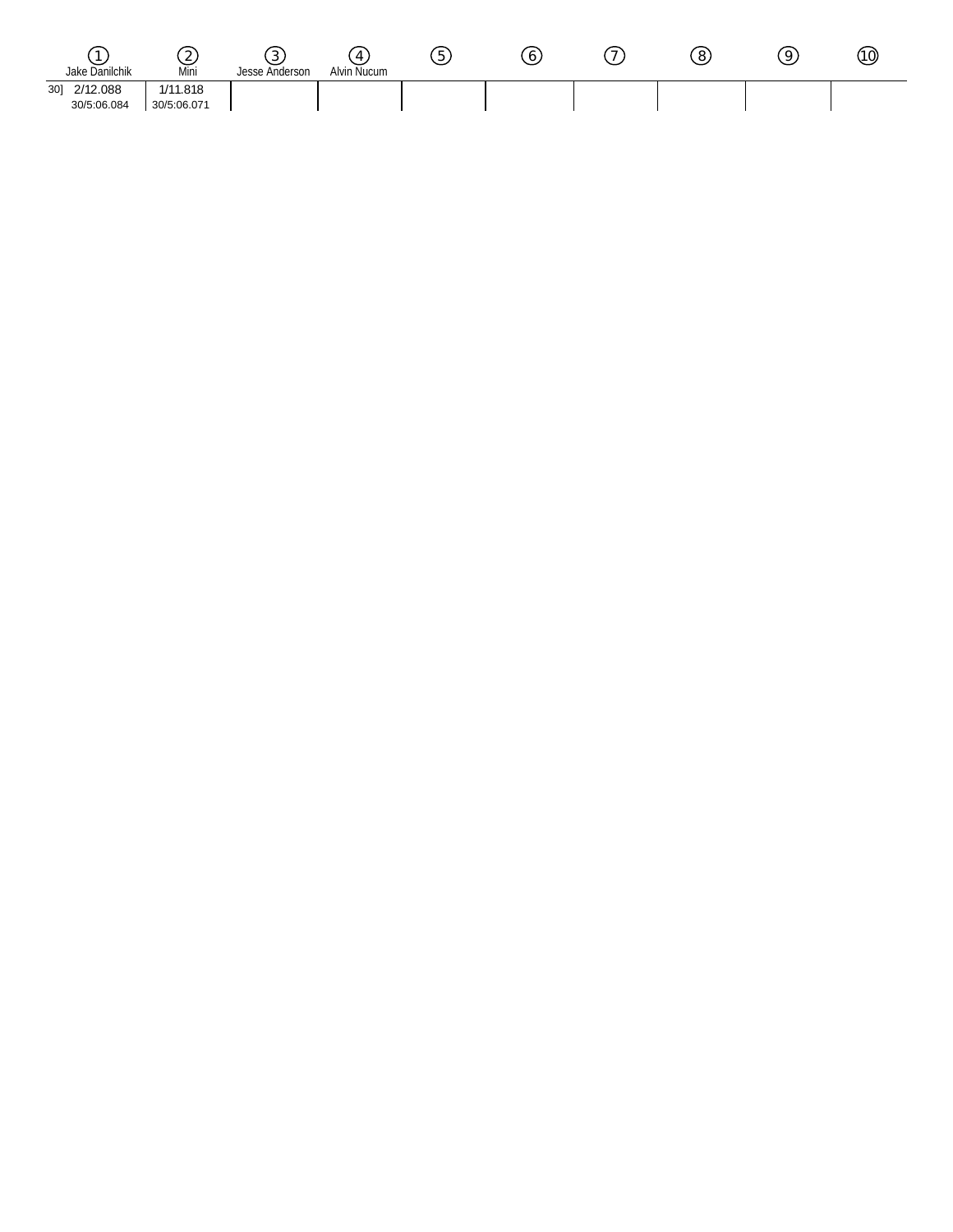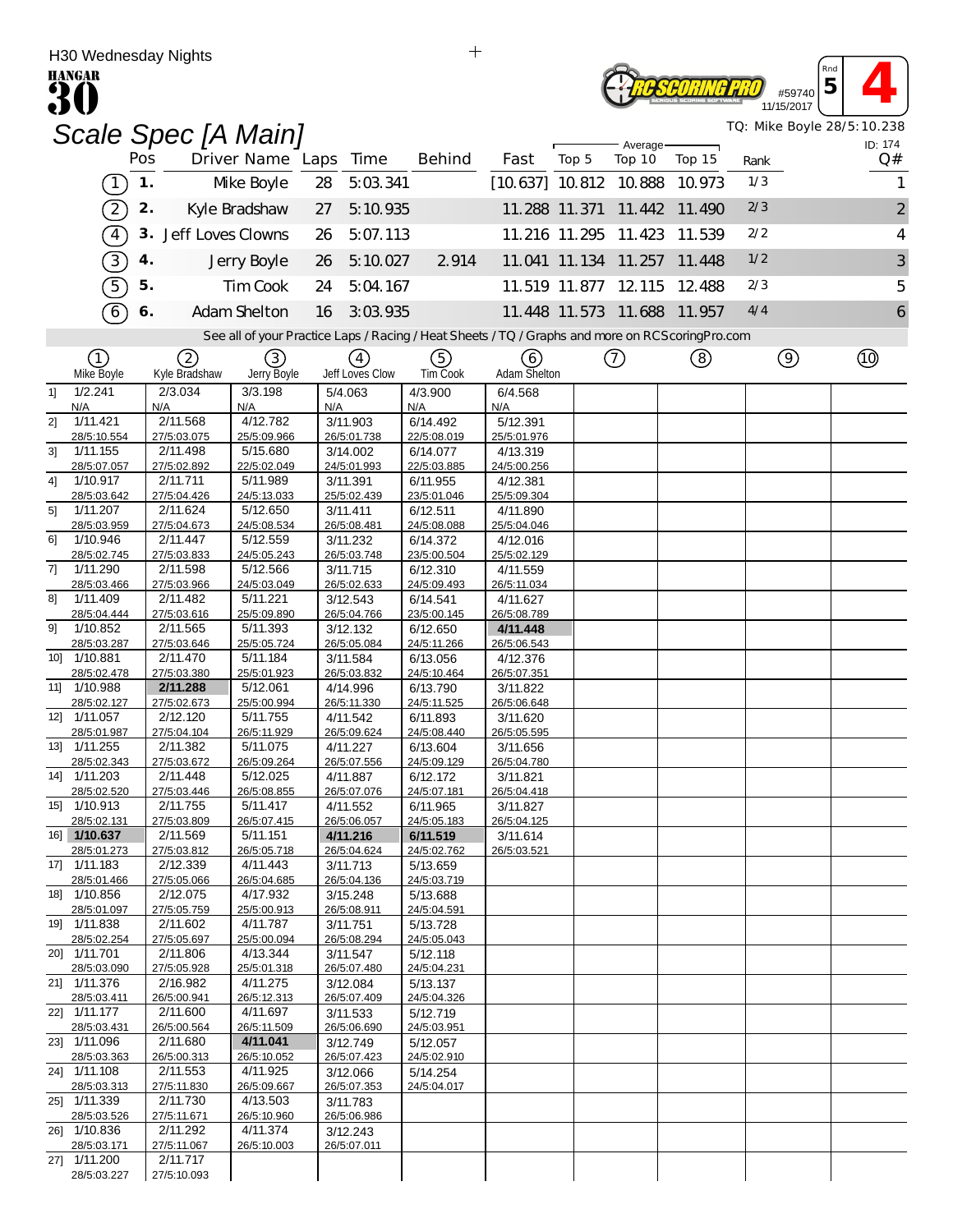|     | H30 weanesday Nights<br><b>HANGAR</b> |     |                         |                         |     |                         |                                                                                                   |                          |       |                      |                             |      | #59740         | Rnd<br>5 |                            |
|-----|---------------------------------------|-----|-------------------------|-------------------------|-----|-------------------------|---------------------------------------------------------------------------------------------------|--------------------------|-------|----------------------|-----------------------------|------|----------------|----------|----------------------------|
|     |                                       |     |                         | Scale Spec [A Main]     |     |                         |                                                                                                   |                          |       |                      |                             |      | 11/15/2017     |          | TQ: Mike Boyle 28/5:10.238 |
|     |                                       | Pos |                         | Driver Name Laps        |     | Time                    | <b>Behind</b>                                                                                     | Fast                     | Top 5 | Average-<br>Top 10   | Top 15                      | Rank |                |          | ID: 174<br>Q#              |
|     | $\mathbf{1}$                          | 1.  |                         | Mke Boyle               | 28  | 5:03.341                |                                                                                                   | $[10.637]$ 10.812 10.888 |       |                      | 10.973                      | 1/3  |                |          | 1                          |
|     | $\mathcal{D}_{\mathcal{L}}$           | 2.  |                         | Kyle Bradshaw           | 27  | 5:10.935                |                                                                                                   | 11.288 11.371            |       | 11.442               | 11.490                      | 2/3  |                |          | $\overline{\mathbf{c}}$    |
|     | $\sqrt{4}$                            | 3.  | Jeff Loves Clowns       |                         | 26  | 5:07.113                |                                                                                                   |                          |       | 11.216 11.295 11.423 | 11.539                      | 2/2  |                |          | 4                          |
|     | $\boxed{3}$                           | 4.  |                         | Jerry Boyle             | 26  | 5:10.027                | 2914                                                                                              |                          |       | 11.041 11.134 11.257 | 11.448                      | 1/2  |                |          | 3                          |
|     | 5                                     | 5.  |                         | Tim Cook                | 24  | 5:04.167                |                                                                                                   |                          |       | 11.519 11.877 12.115 | 12.488                      | 2/3  |                |          | 5                          |
|     | 6                                     | 6.  |                         | Adam Shelton            | 16  | 3:03.935                |                                                                                                   |                          |       |                      | 11.448 11.573 11.688 11.957 | 4/4  |                |          | 6                          |
|     |                                       |     |                         |                         |     |                         | See all of your Practice Laps / Racing / Heat Sheets / TQ / Graphs and more on RCS coring Pro.com |                          |       |                      |                             |      |                |          |                            |
|     | (1)                                   |     | 2                       | 3)                      |     | (4)                     | (5)                                                                                               | 6                        |       | (7)                  | ②                           |      | $\circledcirc$ |          | (তি                        |
|     | Mke Boyle                             |     | Kyle Bradshaw           | Jerry Boyle             |     | Jeff Loves Clow         | <b>TimCook</b>                                                                                    | Adam Shelton             |       |                      |                             |      |                |          |                            |
| 1   | 1/2.241<br>N/A                        |     | 2/3.034<br>N/A          | 3/3.198<br>N/A          | N/A | 5/4.063                 | 4/3.900<br>N/A                                                                                    | 6/4.568<br>N/A           |       |                      |                             |      |                |          |                            |
| 21  | 1/11.421<br>28/5:10.554               |     | 2/11.568<br>27/5:03.075 | 4/12.782<br>25/5:09.966 |     | 3/11.903<br>26/5:01.738 | 6/14.492<br>22/5:08.019                                                                           | 5/12.391<br>25/5:01.976  |       |                      |                             |      |                |          |                            |
| 3]  | 1/11.155                              |     | 2/11.498                | 5/15.680                |     | 3/14.002                | 6/14.077                                                                                          | 4/13.319                 |       |                      |                             |      |                |          |                            |
| 4]  | 28/5:07.057<br>1/10.917               |     | 27/5:02.892<br>2/11.711 | 22/5:02.049<br>5/11.989 |     | 24/5:01.993<br>3/11.391 | 22/5:03.885<br>6/11.955                                                                           | 24/5:00.256<br>4/12.381  |       |                      |                             |      |                |          |                            |
|     | 28/5:03.642<br>1/11.207               |     | 27/5:04.426<br>2/11.624 | 24/5:13.033<br>5/12.650 |     | 25/5:02.439             | 23/5:01.046                                                                                       | 25/5:09.304              |       |                      |                             |      |                |          |                            |
| 51  | 28/5:03.959                           |     | 27/5:04.673             | 24/5:08.534             |     | 3/11.411<br>26/5:08.481 | 6/12.511<br>24/5:08.088                                                                           | 4/11.890<br>25/5:04.046  |       |                      |                             |      |                |          |                            |
| 61  | 1/10.946<br>28/5:02.745               |     | 2/11.447<br>27/5:03.833 | 5/12.559<br>24/5:05.243 |     | 3/11.232<br>26/5:03.748 | 6/14.372<br>23/5:00.504                                                                           | 4/12.016<br>25/5:02.129  |       |                      |                             |      |                |          |                            |
| 71  | 1/11.290                              |     | 2/11.598                | 5/12.566                |     | 3/11.715                | 6/12.310                                                                                          | 4/11.559                 |       |                      |                             |      |                |          |                            |
| 81  | 28/5:03.466<br>1/11.409               |     | 27/5:03.966<br>2/11.482 | 24/5:03.049<br>5/11.221 |     | 26/5:02.633<br>3/12.543 | 24/5:09.493<br>6/14.541                                                                           | 26/5:11.034<br>4/11.627  |       |                      |                             |      |                |          |                            |
|     | 28/5:04.444                           |     | 27/5:03.616             | 25/5:09.890             |     | 26/5:04.766             | 23/5:00.145                                                                                       | 26/5:08.789              |       |                      |                             |      |                |          |                            |
| 91  | 1/10.852<br>28/5:03.287               |     | 2/11.565<br>27/5:03.646 | 5/11.393<br>25/5:05.724 |     | 3/12.132<br>26/5:05.084 | 6/12.650<br>24/5:11.266                                                                           | 4/11.448<br>26/5:06.543  |       |                      |                             |      |                |          |                            |
| 101 | 1/10.881<br>28/5:02.478               |     | 2/11.470<br>27/5:03.380 | 5/11.184<br>25/5:01.923 |     | 3/11.584<br>26/5:03.832 | 6/13.056<br>24/5:10.464                                                                           | 4/12.376<br>26/5:07.351  |       |                      |                             |      |                |          |                            |
| 11] | 1/10.988                              |     | 2/11.288                | 5/12.061                |     | 4/14.996                | 6/13.790                                                                                          | 3/11.822                 |       |                      |                             |      |                |          |                            |
|     | 28/5:02.127<br>12] 1/11.057           |     | 27/5:02.673<br>2/12.120 | 25/5:00.994<br>5/11.755 |     | 26/5:11.330<br>4/11.542 | 24/5:11.525<br>6/11.893                                                                           | 26/5:06.648<br>3/11.620  |       |                      |                             |      |                |          |                            |
|     | 28/5:01.987                           |     | 27/5:04.104             | 26/5:11.929             |     | 26/5:09.624             | 24/5:08.440                                                                                       | 26/5:05.595              |       |                      |                             |      |                |          |                            |
| 13] | 1/11.255<br>28/5:02.343               |     | 2/11.382<br>27/5:03.672 | 5/11.075<br>26/5:09.264 |     | 4/11.227<br>26/5:07.556 | 6/13.604<br>24/5:09.129                                                                           | 3/11.656<br>26/5:04.780  |       |                      |                             |      |                |          |                            |
|     | 14] 1/11.203<br>28/5:02.520           |     | 2/11.448<br>27/5:03.446 | 5/12.025<br>26/5:08.855 |     | 4/11.887<br>26/5:07.076 | 6/12.172<br>24/5:07.181                                                                           | 3/11.821<br>26/5:04.418  |       |                      |                             |      |                |          |                            |
|     | 15] 1/10.913                          |     | 2/11.755                | 5/11.417                |     | 4/11.552                | 6/11.965                                                                                          | 3/11.827                 |       |                      |                             |      |                |          |                            |
|     | 28/5:02.131<br>16] 1/10.637           |     | 27/5:03.809<br>2/11.569 | 26/5:07.415<br>5/11.151 |     | 26/5:06.057<br>4/11.216 | 24/5:05.183<br>6/11.519                                                                           | 26/5:04.125<br>3/11.614  |       |                      |                             |      |                |          |                            |
|     | 28/5:01.273                           |     | 27/5:03.812             | 26/5:05.718             |     | 26/5:04.624             | 24/5:02.762                                                                                       | 26/5:03.521              |       |                      |                             |      |                |          |                            |
|     | 17] 1/11.183<br>28/5:01.466           |     | 2/12.339<br>27/5:05.066 | 4/11.443<br>26/5:04.685 |     | 3/11.713<br>26/5:04.136 | 5/13.659<br>24/5:03.719                                                                           |                          |       |                      |                             |      |                |          |                            |
|     | 18] 1/10.856<br>28/5:01.097           |     | 2/12.075<br>27/5:05.759 | 4/17.932<br>25/5:00.913 |     | 3/15.248<br>26/5:08.911 | 5/13.688<br>24/5:04.591                                                                           |                          |       |                      |                             |      |                |          |                            |
|     | 19] 1/11.838                          |     | 2/11.602                | 4/11.787                |     | 3/11.751                | 5/13.728                                                                                          |                          |       |                      |                             |      |                |          |                            |
|     | 28/5:02.254<br>20] 1/11.701           |     | 27/5:05.697<br>2/11.806 | 25/5:00.094<br>4/13.344 |     | 26/5:08.294<br>3/11.547 | 24/5:05.043<br>5/12.118                                                                           |                          |       |                      |                             |      |                |          |                            |
|     | 28/5:03.090                           |     | 27/5:05.928             | 25/5:01.318             |     | 26/5:07.480             | 24/5:04.231                                                                                       |                          |       |                      |                             |      |                |          |                            |
|     | 21] 1/11.376<br>28/5:03.411           |     | 2/16.982<br>26/5:00.941 | 4/11.275<br>26/5:12.313 |     | 3/12.084<br>26/5:07.409 | 5/13.137<br>24/5:04.326                                                                           |                          |       |                      |                             |      |                |          |                            |
|     | 22] 1/11.177                          |     | 2/11.600                | 4/11.697                |     | 3/11.533                | 5/12.719                                                                                          |                          |       |                      |                             |      |                |          |                            |
|     | 28/5:03.431<br>23] 1/11.096           |     | 26/5:00.564<br>2/11.680 | 26/5:11.509<br>4/11.041 |     | 26/5:06.690<br>3/12.749 | 24/5:03.951<br>5/12.057                                                                           |                          |       |                      |                             |      |                |          |                            |
|     | 28/5:03.363<br>24] 1/11.108           |     | 26/5:00.313<br>2/11.553 | 26/5:10.052<br>4/11.925 |     | 26/5:07.423<br>3/12.066 | 24/5:02.910<br>5/14.254                                                                           |                          |       |                      |                             |      |                |          |                            |
|     | 28/5:03.313                           |     | 27/5:11.830             | 26/5:09.667             |     | 26/5:07.353             | 24/5:04.017                                                                                       |                          |       |                      |                             |      |                |          |                            |
|     | 25] 1/11.339<br>28/5:03.526           |     | 2/11.730<br>27/5:11.671 | 4/13.503<br>26/5:10.960 |     | 3/11.783<br>26/5:06.986 |                                                                                                   |                          |       |                      |                             |      |                |          |                            |
|     | 26] 1/10.836<br>28/5:03.171           |     | 2/11.292<br>27/5:11.067 | 4/11.374<br>26/5:10.003 |     | 3/12.243<br>26/5:07.011 |                                                                                                   |                          |       |                      |                             |      |                |          |                            |
|     | 27] 1/11.200                          |     | 2/11.717                |                         |     |                         |                                                                                                   |                          |       |                      |                             |      |                |          |                            |
|     | 28/5:03.227                           |     | 27/5:10.093             |                         |     |                         |                                                                                                   |                          |       |                      |                             |      |                |          |                            |

 $\qquad \qquad +$